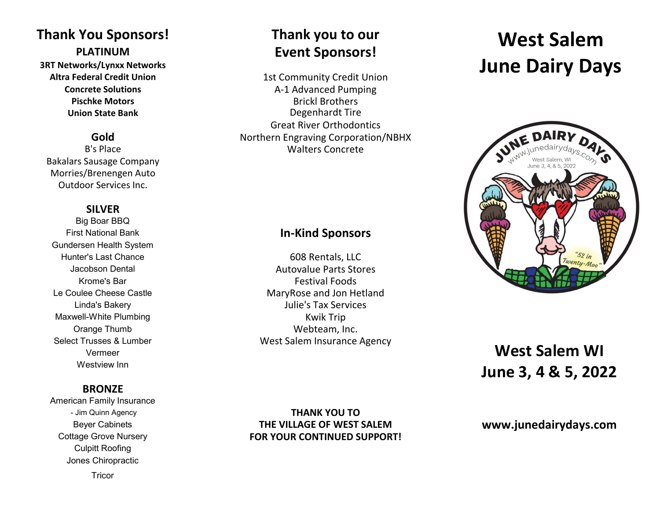# **Thank You Sponsors! Thank you to our**

**3RT Networks/Lynxx Networks**

Bakalars Sausage Company Morries/Brenengen Auto Outdoor Services Inc.

# **SILVER**

Big Boar BBQ Gundersen Health System Maxwell-White Plumbing **Kwik Trip** Kwik Trip Vermeer Westview Inn

## **BRONZE**

American Family Insurance Culpitt Roofing Jones Chiropractic

### **Tricor**

# **PLATINUM Event Sponsors!**

Altra Federal Credit Union<br>
1st Community Credit Union **Concrete Solutions Concrete Solutions A-1 Advanced Pumping Pischke Motors Brickl Brothers Union State Bank** Degenhardt Tire Great River Orthodontics **Gold Gold Cold Northern Engraving Corporation/NBHX**<br>B's Place **Malters** Concrete Walters Concrete

# First National Bank **In-Kind Sponsors**

Hunter's Last Chance 608 Rentals, LLC Jacobson Dental Autovalue Parts Stores Krome's Bar Festival Foods Le Coulee Cheese Castle MaryRose and Jon Hetland Linda's Bakery Julie's Tax Services Orange Thumb **Webteam, Inc.** Select Trusses & Lumber West Salem Insurance Agency

# **West Salem June Dairy Days**



# **West Salem WI June 3, 4 & 5, 2022**

### - Jim Quinn Agency **THANK YOU TO** Beyer Cabinets **THE VILLAGE OF WEST SALEM** Cottage Grove Nursery **FOR YOUR CONTINUED SUPPORT!**

# **www.junedairydays.com**